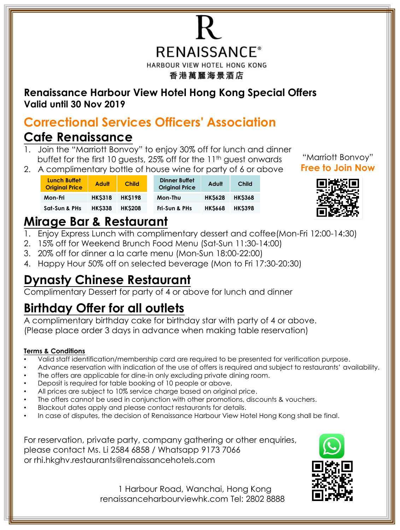

**Renaissance Harbour View Hotel Hong Kong Special Offers Valid until 30 Nov 2019**

## **Correctional Services Officers' Association**

## **Cafe Renaissance**

- 1. Join the "Marriott Bonvoy" to enjoy 30% off for lunch and dinner buffet for the first 10 guests, 25% off for the 11<sup>th</sup> guest onwards
- 2. A complimentary bottle of house wine for party of 6 or above

| <b>Lunch Buffet</b><br><b>Original Price</b> | <b>Adult</b>  | <b>Child</b>  | <b>Dinner Buffet</b><br>Adult<br><b>Child</b><br><b>Original Price</b> |  |
|----------------------------------------------|---------------|---------------|------------------------------------------------------------------------|--|
| Mon-Fri                                      | <b>HKS318</b> | <b>HKS198</b> | <b>HKS628</b><br><b>HKS368</b><br>Mon-Thu                              |  |
| Sat-Sun & PHs                                | <b>HKS338</b> | <b>HKS208</b> | <b>HKS398</b><br><b>HKS668</b><br>Fri-Sun & PHs                        |  |



## **Mirage Bar & Restaurant**

- 1. Enjoy Express Lunch with complimentary dessert and coffee(Mon-Fri 12:00-14:30)
- 2. 15% off for Weekend Brunch Food Menu (Sat-Sun 11:30-14:00)
- 3. 20% off for dinner a la carte menu (Mon-Sun 18:00-22:00)
- 4. Happy Hour 50% off on selected beverage (Mon to Fri 17:30-20:30)

## **Dynasty Chinese Restaurant**

Complimentary Dessert for party of 4 or above for lunch and dinner

# **Birthday Offer for all outlets**

A complimentary birthday cake for birthday star with party of 4 or above. (Please place order 3 days in advance when making table reservation)

### **Terms & Conditions**

- Valid staff identification/membership card are required to be presented for verification purpose.
- Advance reservation with indication of the use of offers is required and subject to restaurants' availability.
- The offers are applicable for dine-in only excluding private dining room.
- Deposit is required for table booking of 10 people or above.
- All prices are subject to 10% service charge based on original price.
- The offers cannot be used in conjunction with other promotions, discounts & vouchers.
- Blackout dates apply and please contact restaurants for details.
- In case of disputes, the decision of Renaissance Harbour View Hotel Hong Kong shall be final.

For reservation, private party, company gathering or other enquiries, please contact Ms. Li 2584 6858 / Whatsapp 9173 7066 or rhi.hkghv.restaurants@renaissancehotels.com



1 Harbour Road, Wanchai, Hong Kong renaissanceharbourviewhk.com Tel: 2802 8888